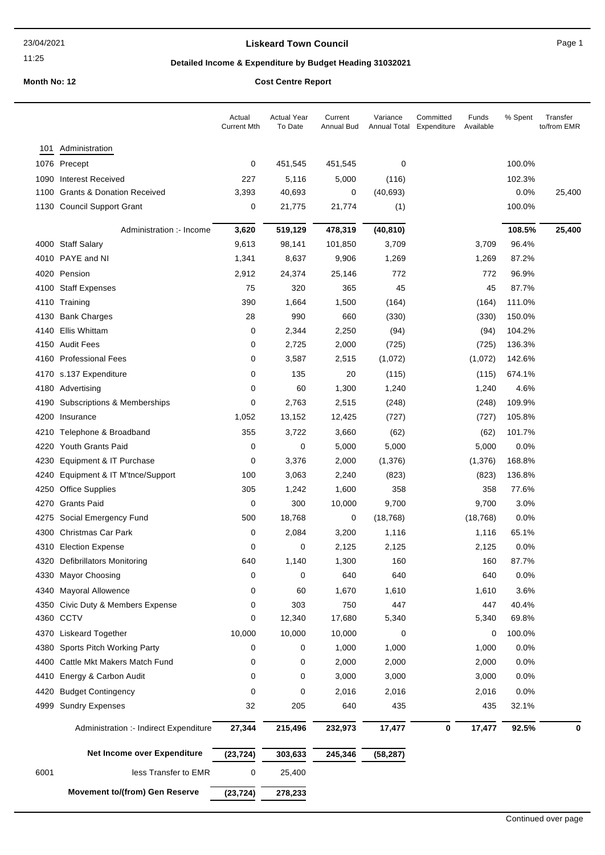### **Liskeard Town Council Canadian Council** Page 1

# **Detailed Income & Expenditure by Budget Heading 31032021**

|      |                                                                      | Actual<br><b>Current Mth</b> | <b>Actual Year</b><br>To Date | Current<br>Annual Bud | Variance<br>Annual Total | Committed<br>Expenditure | Funds<br>Available | % Spent | Transfer<br>to/from EMR |
|------|----------------------------------------------------------------------|------------------------------|-------------------------------|-----------------------|--------------------------|--------------------------|--------------------|---------|-------------------------|
| 101  | Administration                                                       |                              |                               |                       |                          |                          |                    |         |                         |
|      | 1076 Precept                                                         | 0                            | 451,545                       | 451,545               | 0                        |                          |                    | 100.0%  |                         |
|      | 1090 Interest Received                                               | 227                          | 5,116                         | 5,000                 | (116)                    |                          |                    | 102.3%  |                         |
|      | 1100 Grants & Donation Received                                      | 3,393                        | 40,693                        | 0                     | (40, 693)                |                          |                    | 0.0%    | 25,400                  |
|      | 1130 Council Support Grant                                           | 0                            | 21,775                        | 21,774                | (1)                      |                          |                    | 100.0%  |                         |
|      | Administration :- Income                                             | 3,620                        | 519,129                       | 478,319               | (40, 810)                |                          |                    | 108.5%  | 25,400                  |
|      | 4000 Staff Salary                                                    | 9,613                        | 98,141                        | 101,850               | 3,709                    |                          | 3,709              | 96.4%   |                         |
|      | 4010 PAYE and NI                                                     | 1,341                        | 8,637                         | 9,906                 | 1,269                    |                          | 1,269              | 87.2%   |                         |
|      | 4020 Pension                                                         | 2,912                        | 24,374                        | 25,146                | 772                      |                          | 772                | 96.9%   |                         |
|      | 4100 Staff Expenses                                                  | 75                           | 320                           | 365                   | 45                       |                          | 45                 | 87.7%   |                         |
|      | 4110 Training                                                        | 390                          | 1,664                         | 1,500                 | (164)                    |                          | (164)              | 111.0%  |                         |
|      | 4130 Bank Charges                                                    | 28                           | 990                           | 660                   | (330)                    |                          | (330)              | 150.0%  |                         |
|      | 4140 Ellis Whittam                                                   | 0                            | 2,344                         | 2,250                 | (94)                     |                          | (94)               | 104.2%  |                         |
|      | 4150 Audit Fees                                                      | 0                            | 2,725                         | 2,000                 | (725)                    |                          | (725)              | 136.3%  |                         |
|      | 4160 Professional Fees                                               | 0                            | 3,587                         | 2,515                 | (1,072)                  |                          | (1,072)            | 142.6%  |                         |
|      | 4170 s.137 Expenditure                                               | 0                            | 135                           | 20                    | (115)                    |                          | (115)              | 674.1%  |                         |
|      | 4180 Advertising                                                     | 0                            | 60                            | 1,300                 | 1,240                    |                          | 1,240              | 4.6%    |                         |
|      | 4190 Subscriptions & Memberships                                     | 0                            | 2,763                         | 2,515                 | (248)                    |                          | (248)              | 109.9%  |                         |
|      | 4200 Insurance                                                       | 1,052                        | 13,152                        | 12,425                | (727)                    |                          | (727)              | 105.8%  |                         |
|      | 4210 Telephone & Broadband                                           | 355                          | 3,722                         | 3,660                 | (62)                     |                          | (62)               | 101.7%  |                         |
|      | 4220 Youth Grants Paid                                               | 0                            | 0                             | 5,000                 | 5,000                    |                          | 5,000              | 0.0%    |                         |
|      | 4230 Equipment & IT Purchase                                         | 0                            | 3,376                         | 2,000                 | (1, 376)                 |                          | (1,376)            | 168.8%  |                         |
|      | 4240 Equipment & IT M'tnce/Support                                   | 100                          | 3,063                         | 2,240                 | (823)                    |                          | (823)              | 136.8%  |                         |
|      | 4250 Office Supplies                                                 | 305                          | 1,242                         | 1,600                 | 358                      |                          | 358                | 77.6%   |                         |
|      | 4270 Grants Paid                                                     | 0                            | 300                           | 10,000                | 9,700                    |                          | 9,700              | 3.0%    |                         |
|      | 4275 Social Emergency Fund                                           | 500                          | 18,768                        | 0                     | (18, 768)                |                          | (18, 768)          | $0.0\%$ |                         |
|      | 4300 Christmas Car Park                                              | 0                            | 2,084                         | 3,200                 | 1,116                    |                          | 1,116              | 65.1%   |                         |
|      | 4310 Election Expense                                                | 0                            | 0                             | 2,125                 | 2,125                    |                          | 2,125              | 0.0%    |                         |
|      | 4320 Defibrillators Monitoring                                       | 640                          | 1,140                         | 1,300                 | 160                      |                          | 160                | 87.7%   |                         |
|      | 4330 Mayor Choosing                                                  | 0                            | 0                             | 640                   | 640                      |                          | 640                | 0.0%    |                         |
|      | 4340 Mayoral Allowence                                               | 0                            | 60                            | 1,670                 | 1,610                    |                          | 1,610              | 3.6%    |                         |
|      | 4350 Civic Duty & Members Expense                                    | 0                            | 303                           | 750                   | 447                      |                          | 447                | 40.4%   |                         |
|      | 4360 CCTV                                                            | 0                            | 12,340                        | 17,680                | 5,340                    |                          | 5,340              | 69.8%   |                         |
|      | 4370 Liskeard Together                                               | 10,000                       | 10,000                        | 10,000                | 0                        |                          | 0                  | 100.0%  |                         |
|      | 4380 Sports Pitch Working Party<br>4400 Cattle Mkt Makers Match Fund | 0                            | 0                             | 1,000                 | 1,000                    |                          | 1,000              | 0.0%    |                         |
|      |                                                                      | 0                            | 0                             | 2,000                 | 2,000                    |                          | 2,000              | 0.0%    |                         |
|      | 4410 Energy & Carbon Audit                                           | 0                            | 0                             | 3,000                 | 3,000                    |                          | 3,000              | 0.0%    |                         |
|      | 4420 Budget Contingency                                              | 0                            | 0                             | 2,016                 | 2,016                    |                          | 2,016              | 0.0%    |                         |
|      | 4999 Sundry Expenses                                                 | 32                           | 205                           | 640                   | 435                      |                          | 435                | 32.1%   |                         |
|      | Administration :- Indirect Expenditure                               | 27,344                       | 215,496                       | 232,973               | 17,477                   | $\bf{0}$                 | 17,477             | 92.5%   | $\bf{0}$                |
|      | Net Income over Expenditure                                          | (23, 724)                    | 303,633                       | 245,346               | (58, 287)                |                          |                    |         |                         |
| 6001 | less Transfer to EMR                                                 | 0                            | 25,400                        |                       |                          |                          |                    |         |                         |
|      | <b>Movement to/(from) Gen Reserve</b>                                | (23, 724)                    | 278,233                       |                       |                          |                          |                    |         |                         |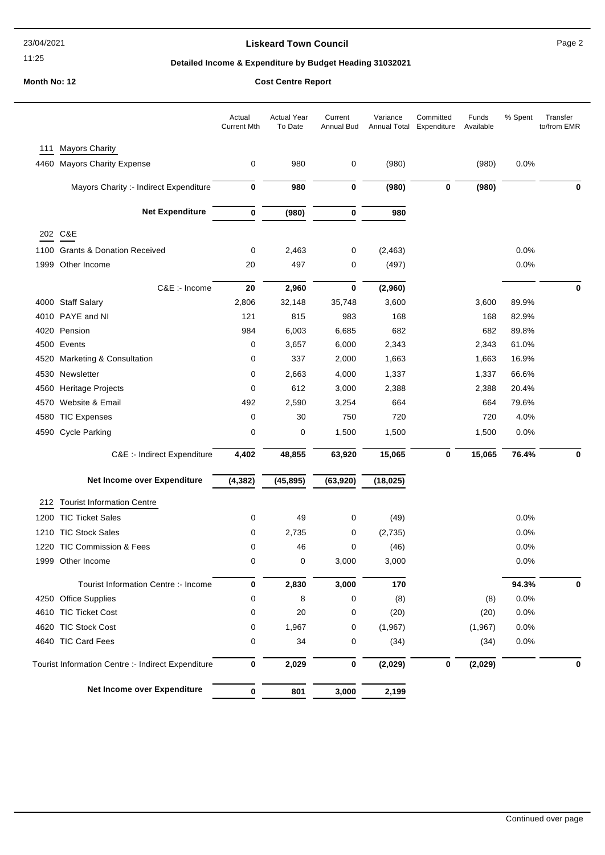### **Liskeard Town Council Canadian Council** Page 2

# **Detailed Income & Expenditure by Budget Heading 31032021**

|      |                                                    | Actual<br><b>Current Mth</b> | <b>Actual Year</b><br>To Date | Current<br><b>Annual Bud</b> | Variance<br>Annual Total | Committed<br>Expenditure | Funds<br>Available | % Spent | Transfer<br>to/from EMR |
|------|----------------------------------------------------|------------------------------|-------------------------------|------------------------------|--------------------------|--------------------------|--------------------|---------|-------------------------|
| 111  | <b>Mayors Charity</b>                              |                              |                               |                              |                          |                          |                    |         |                         |
|      | 4460 Mayors Charity Expense                        | 0                            | 980                           | 0                            | (980)                    |                          | (980)              | 0.0%    |                         |
|      | Mayors Charity :- Indirect Expenditure             | 0                            | 980                           | 0                            | (980)                    | 0                        | (980)              |         | U                       |
|      | <b>Net Expenditure</b>                             | 0                            | (980)                         | 0                            | 980                      |                          |                    |         |                         |
|      | 202 C&E                                            |                              |                               |                              |                          |                          |                    |         |                         |
| 1100 | <b>Grants &amp; Donation Received</b>              | 0                            | 2,463                         | 0                            | (2, 463)                 |                          |                    | 0.0%    |                         |
| 1999 | Other Income                                       | 20                           | 497                           | 0                            | (497)                    |                          |                    | 0.0%    |                         |
|      | C&E :- Income                                      | 20                           | 2,960                         | 0                            | (2,960)                  |                          |                    |         | 0                       |
|      | 4000 Staff Salary                                  | 2,806                        | 32,148                        | 35,748                       | 3,600                    |                          | 3,600              | 89.9%   |                         |
|      | 4010 PAYE and NI                                   | 121                          | 815                           | 983                          | 168                      |                          | 168                | 82.9%   |                         |
|      | 4020 Pension                                       | 984                          | 6,003                         | 6,685                        | 682                      |                          | 682                | 89.8%   |                         |
|      | 4500 Events                                        | 0                            | 3,657                         | 6,000                        | 2,343                    |                          | 2,343              | 61.0%   |                         |
| 4520 | <b>Marketing &amp; Consultation</b>                | 0                            | 337                           | 2,000                        | 1,663                    |                          | 1,663              | 16.9%   |                         |
| 4530 | Newsletter                                         | 0                            | 2,663                         | 4,000                        | 1,337                    |                          | 1,337              | 66.6%   |                         |
| 4560 | <b>Heritage Projects</b>                           | 0                            | 612                           | 3,000                        | 2,388                    |                          | 2,388              | 20.4%   |                         |
| 4570 | Website & Email                                    | 492                          | 2,590                         | 3,254                        | 664                      |                          | 664                | 79.6%   |                         |
| 4580 | <b>TIC Expenses</b>                                | 0                            | 30                            | 750                          | 720                      |                          | 720                | 4.0%    |                         |
| 4590 | <b>Cycle Parking</b>                               | 0                            | 0                             | 1,500                        | 1,500                    |                          | 1,500              | 0.0%    |                         |
|      | C&E :- Indirect Expenditure                        | 4,402                        | 48,855                        | 63,920                       | 15,065                   | 0                        | 15,065             | 76.4%   |                         |
|      | Net Income over Expenditure                        | (4, 382)                     | (45, 895)                     | (63, 920)                    | (18, 025)                |                          |                    |         |                         |
| 212  | <b>Tourist Information Centre</b>                  |                              |                               |                              |                          |                          |                    |         |                         |
|      | 1200 TIC Ticket Sales                              | 0                            | 49                            | 0                            | (49)                     |                          |                    | 0.0%    |                         |
| 1210 | <b>TIC Stock Sales</b>                             | 0                            | 2,735                         | 0                            | (2,735)                  |                          |                    | 0.0%    |                         |
| 1220 | <b>TIC Commission &amp; Fees</b>                   | 0                            | 46                            | 0                            | (46)                     |                          |                    | 0.0%    |                         |
|      | 1999 Other Income                                  | 0                            | 0                             | 3,000                        | 3,000                    |                          |                    | 0.0%    |                         |
|      |                                                    |                              |                               |                              |                          |                          |                    |         |                         |
|      | Tourist Information Centre :- Income               | 0                            | 2,830                         | 3,000                        | 170                      |                          |                    | 94.3%   | 0                       |
|      | 4250 Office Supplies                               | 0                            | 8                             | 0                            | (8)                      |                          | (8)                | 0.0%    |                         |
|      | 4610 TIC Ticket Cost                               | 0                            | 20                            | 0                            | (20)                     |                          | (20)               | 0.0%    |                         |
|      | 4620 TIC Stock Cost                                | 0                            | 1,967                         | 0                            | (1,967)                  |                          | (1,967)            | 0.0%    |                         |
|      | 4640 TIC Card Fees                                 | 0                            | 34                            | 0                            | (34)                     |                          | (34)               | 0.0%    |                         |
|      | Tourist Information Centre :- Indirect Expenditure | 0                            | 2,029                         | 0                            | (2,029)                  | 0                        | (2,029)            |         | 0                       |
|      | Net Income over Expenditure                        | $\bf{0}$                     | 801                           | 3,000                        | 2,199                    |                          |                    |         |                         |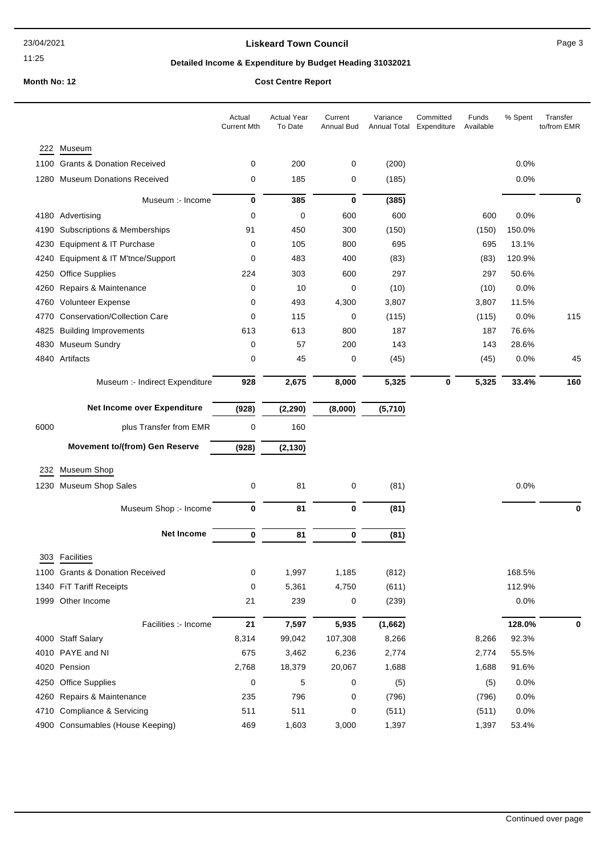### **Liskeard Town Council Canadian Council** Page 3

# **Detailed Income & Expenditure by Budget Heading 31032021**

|      |                                       | Actual<br><b>Current Mth</b> | <b>Actual Year</b><br>To Date | Current<br><b>Annual Bud</b> | Variance<br>Annual Total | Committed<br>Expenditure | Funds<br>Available | % Spent | Transfer<br>to/from EMR |
|------|---------------------------------------|------------------------------|-------------------------------|------------------------------|--------------------------|--------------------------|--------------------|---------|-------------------------|
|      | 222 Museum                            |                              |                               |                              |                          |                          |                    |         |                         |
|      | 1100 Grants & Donation Received       | 0                            | 200                           | 0                            | (200)                    |                          |                    | 0.0%    |                         |
|      | 1280 Museum Donations Received        | 0                            | 185                           | 0                            | (185)                    |                          |                    | 0.0%    |                         |
|      | Museum :- Income                      | 0                            | 385                           | 0                            | (385)                    |                          |                    |         | 0                       |
|      | 4180 Advertising                      | 0                            | 0                             | 600                          | 600                      |                          | 600                | 0.0%    |                         |
|      | 4190 Subscriptions & Memberships      | 91                           | 450                           | 300                          | (150)                    |                          | (150)              | 150.0%  |                         |
| 4230 | Equipment & IT Purchase               | 0                            | 105                           | 800                          | 695                      |                          | 695                | 13.1%   |                         |
|      | 4240 Equipment & IT M'tnce/Support    | 0                            | 483                           | 400                          | (83)                     |                          | (83)               | 120.9%  |                         |
|      | 4250 Office Supplies                  | 224                          | 303                           | 600                          | 297                      |                          | 297                | 50.6%   |                         |
|      | 4260 Repairs & Maintenance            | 0                            | 10                            | 0                            | (10)                     |                          | (10)               | 0.0%    |                         |
| 4760 | <b>Volunteer Expense</b>              | 0                            | 493                           | 4,300                        | 3,807                    |                          | 3,807              | 11.5%   |                         |
|      | 4770 Conservation/Collection Care     | 0                            | 115                           | 0                            | (115)                    |                          | (115)              | 0.0%    | 115                     |
|      | 4825 Building Improvements            | 613                          | 613                           | 800                          | 187                      |                          | 187                | 76.6%   |                         |
|      | 4830 Museum Sundry                    | 0                            | 57                            | 200                          | 143                      |                          | 143                | 28.6%   |                         |
|      | 4840 Artifacts                        | 0                            | 45                            | 0                            | (45)                     |                          | (45)               | 0.0%    | 45                      |
|      | Museum :- Indirect Expenditure        | 928                          | 2,675                         | 8,000                        | 5,325                    | 0                        | 5,325              | 33.4%   | 160                     |
|      | Net Income over Expenditure           | (928)                        | (2, 290)                      | (8,000)                      | (5,710)                  |                          |                    |         |                         |
| 6000 | plus Transfer from EMR                | 0                            | 160                           |                              |                          |                          |                    |         |                         |
|      | <b>Movement to/(from) Gen Reserve</b> | (928)                        | (2, 130)                      |                              |                          |                          |                    |         |                         |
| 232  | Museum Shop                           |                              |                               |                              |                          |                          |                    |         |                         |
|      | 1230 Museum Shop Sales                | 0                            | 81                            | 0                            | (81)                     |                          |                    | 0.0%    |                         |
|      | Museum Shop :- Income                 | 0                            | 81                            | 0                            | (81)                     |                          |                    |         | 0                       |
|      |                                       |                              |                               |                              |                          |                          |                    |         |                         |
|      | <b>Net Income</b>                     | 0                            | 81                            | 0                            | (81)                     |                          |                    |         |                         |
| 303  | Facilities                            |                              |                               |                              |                          |                          |                    |         |                         |
|      | 1100 Grants & Donation Received       | 0                            | 1,997                         | 1,185                        | (812)                    |                          |                    | 168.5%  |                         |
|      | 1340 FiT Tariff Receipts              | 0                            | 5,361                         | 4,750                        | (611)                    |                          |                    | 112.9%  |                         |
|      | 1999 Other Income                     | 21                           | 239                           | 0                            | (239)                    |                          |                    | 0.0%    |                         |
|      | Facilities :- Income                  | 21                           | 7,597                         | 5,935                        | (1,662)                  |                          |                    | 128.0%  | 0                       |
|      | 4000 Staff Salary                     | 8,314                        | 99,042                        | 107,308                      | 8,266                    |                          | 8,266              | 92.3%   |                         |
|      | 4010 PAYE and NI                      | 675                          | 3,462                         | 6,236                        | 2,774                    |                          | 2,774              | 55.5%   |                         |
|      | 4020 Pension                          | 2,768                        | 18,379                        | 20,067                       | 1,688                    |                          | 1,688              | 91.6%   |                         |
|      | 4250 Office Supplies                  | 0                            | 5                             | 0                            | (5)                      |                          | (5)                | 0.0%    |                         |
|      | 4260 Repairs & Maintenance            | 235                          | 796                           | 0                            | (796)                    |                          | (796)              | 0.0%    |                         |
|      | 4710 Compliance & Servicing           | 511                          | 511                           | 0                            | (511)                    |                          | (511)              | 0.0%    |                         |
|      | 4900 Consumables (House Keeping)      | 469                          | 1,603                         | 3,000                        | 1,397                    |                          | 1,397              | 53.4%   |                         |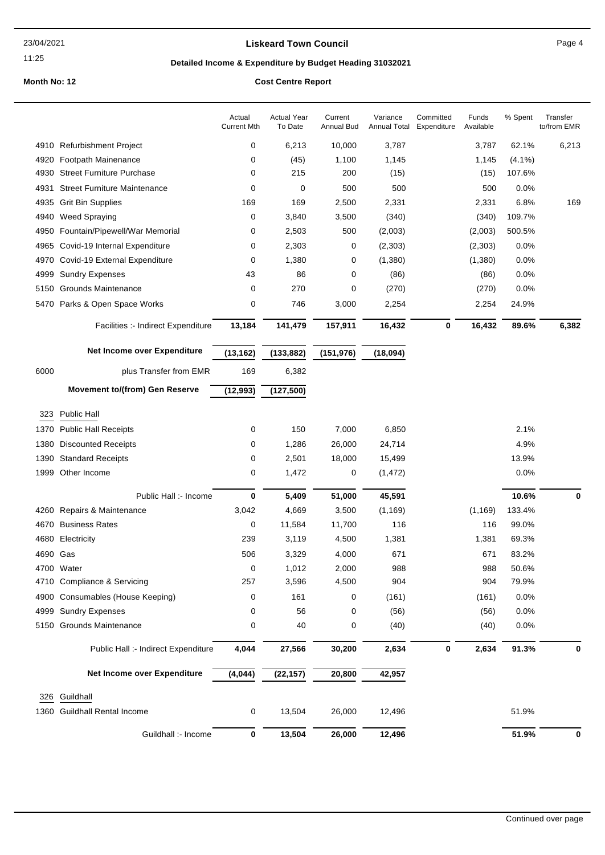### **Liskeard Town Council Canadian Council** Page 4

# **Detailed Income & Expenditure by Budget Heading 31032021**

|          |                                       | Actual<br><b>Current Mth</b> | <b>Actual Year</b><br>To Date | Current<br>Annual Bud | Variance<br>Annual Total | Committed<br>Expenditure | Funds<br>Available | % Spent   | Transfer<br>to/from EMR |
|----------|---------------------------------------|------------------------------|-------------------------------|-----------------------|--------------------------|--------------------------|--------------------|-----------|-------------------------|
| 4910     | <b>Refurbishment Project</b>          | 0                            | 6,213                         | 10,000                | 3,787                    |                          | 3,787              | 62.1%     | 6,213                   |
| 4920     | Footpath Mainenance                   | 0                            | (45)                          | 1,100                 | 1,145                    |                          | 1,145              | $(4.1\%)$ |                         |
| 4930     | <b>Street Furniture Purchase</b>      | 0                            | 215                           | 200                   | (15)                     |                          | (15)               | 107.6%    |                         |
| 4931     | <b>Street Furniture Maintenance</b>   | 0                            | 0                             | 500                   | 500                      |                          | 500                | 0.0%      |                         |
| 4935     | <b>Grit Bin Supplies</b>              | 169                          | 169                           | 2,500                 | 2,331                    |                          | 2,331              | 6.8%      | 169                     |
| 4940     | <b>Weed Spraying</b>                  | 0                            | 3,840                         | 3,500                 | (340)                    |                          | (340)              | 109.7%    |                         |
| 4950     | Fountain/Pipewell/War Memorial        | 0                            | 2,503                         | 500                   | (2,003)                  |                          | (2,003)            | 500.5%    |                         |
| 4965     | Covid-19 Internal Expenditure         | 0                            | 2,303                         | 0                     | (2,303)                  |                          | (2,303)            | $0.0\%$   |                         |
| 4970     | Covid-19 External Expenditure         | 0                            | 1,380                         | 0                     | (1,380)                  |                          | (1,380)            | 0.0%      |                         |
| 4999     | <b>Sundry Expenses</b>                | 43                           | 86                            | 0                     | (86)                     |                          | (86)               | 0.0%      |                         |
| 5150     | <b>Grounds Maintenance</b>            | 0                            | 270                           | 0                     | (270)                    |                          | (270)              | 0.0%      |                         |
| 5470     | Parks & Open Space Works              | 0                            | 746                           | 3,000                 | 2,254                    |                          | 2,254              | 24.9%     |                         |
|          | Facilities :- Indirect Expenditure    | 13,184                       | 141,479                       | 157,911               | 16,432                   | 0                        | 16,432             | 89.6%     | 6,382                   |
|          | Net Income over Expenditure           | (13, 162)                    | (133, 882)                    | (151, 976)            | (18,094)                 |                          |                    |           |                         |
| 6000     | plus Transfer from EMR                | 169                          | 6,382                         |                       |                          |                          |                    |           |                         |
|          | <b>Movement to/(from) Gen Reserve</b> | (12, 993)                    | (127, 500)                    |                       |                          |                          |                    |           |                         |
|          |                                       |                              |                               |                       |                          |                          |                    |           |                         |
| 323      | Public Hall                           |                              |                               |                       |                          |                          |                    |           |                         |
| 1370     | <b>Public Hall Receipts</b>           | 0                            | 150                           | 7,000                 | 6,850                    |                          |                    | 2.1%      |                         |
| 1380     | <b>Discounted Receipts</b>            | 0                            | 1,286                         | 26,000                | 24,714                   |                          |                    | 4.9%      |                         |
| 1390     | <b>Standard Receipts</b>              | 0                            | 2,501                         | 18,000                | 15,499                   |                          |                    | 13.9%     |                         |
| 1999     | Other Income                          | 0                            | 1,472                         | 0                     | (1, 472)                 |                          |                    | 0.0%      |                         |
|          | Public Hall :- Income                 | 0                            | 5,409                         | 51,000                | 45,591                   |                          |                    | 10.6%     | 0                       |
| 4260     | Repairs & Maintenance                 | 3,042                        | 4,669                         | 3,500                 | (1, 169)                 |                          | (1, 169)           | 133.4%    |                         |
| 4670     | <b>Business Rates</b>                 | 0                            | 11,584                        | 11,700                | 116                      |                          | 116                | 99.0%     |                         |
| 4680     | Electricity                           | 239                          | 3,119                         | 4,500                 | 1,381                    |                          | 1,381              | 69.3%     |                         |
| 4690 Gas |                                       | 506                          | 3,329                         | 4,000                 | 671                      |                          | 671                | 83.2%     |                         |
|          | 4700 Water                            | $\mathsf{O}$                 | 1,012                         | 2,000                 | 988                      |                          | 988                | 50.6%     |                         |
|          | 4710 Compliance & Servicing           | 257                          | 3,596                         | 4,500                 | 904                      |                          | 904                | 79.9%     |                         |
| 4900     | Consumables (House Keeping)           | 0                            | 161                           | 0                     | (161)                    |                          | (161)              | 0.0%      |                         |
| 4999     | <b>Sundry Expenses</b>                | 0                            | 56                            | 0                     | (56)                     |                          | (56)               | 0.0%      |                         |
|          | 5150 Grounds Maintenance              | 0                            | 40                            | 0                     | (40)                     |                          | (40)               | 0.0%      |                         |
|          | Public Hall :- Indirect Expenditure   | 4,044                        | 27,566                        | 30,200                | 2,634                    | 0                        | 2,634              | 91.3%     | 0                       |
|          | Net Income over Expenditure           | (4,044)                      | (22, 157)                     | 20,800                | 42,957                   |                          |                    |           |                         |
| 326      | Guildhall                             |                              |                               |                       |                          |                          |                    |           |                         |
| 1360     | <b>Guildhall Rental Income</b>        | 0                            | 13,504                        | 26,000                | 12,496                   |                          |                    | 51.9%     |                         |
|          | Guildhall :- Income                   | $\bf{0}$                     | 13,504                        | 26,000                | 12,496                   |                          |                    | 51.9%     | 0                       |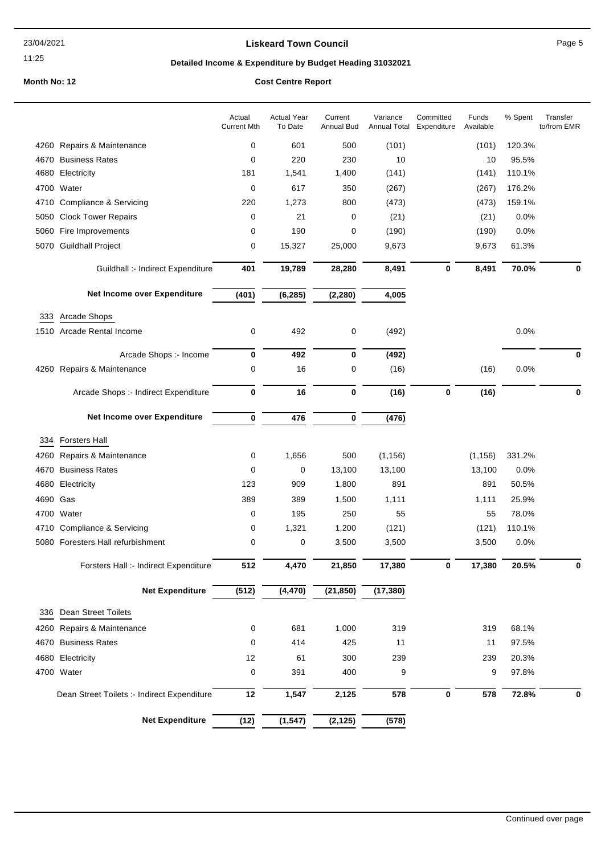### **Liskeard Town Council Canadian Council** Page 5

# **Detailed Income & Expenditure by Budget Heading 31032021**

|      |                                             | Actual<br><b>Current Mth</b> | <b>Actual Year</b><br>To Date | Current<br><b>Annual Bud</b> | Variance<br>Annual Total | Committed<br>Expenditure | Funds<br>Available | % Spent | Transfer<br>to/from EMR |
|------|---------------------------------------------|------------------------------|-------------------------------|------------------------------|--------------------------|--------------------------|--------------------|---------|-------------------------|
|      | 4260 Repairs & Maintenance                  | 0                            | 601                           | 500                          | (101)                    |                          | (101)              | 120.3%  |                         |
| 4670 | <b>Business Rates</b>                       | 0                            | 220                           | 230                          | 10                       |                          | 10                 | 95.5%   |                         |
| 4680 | Electricity                                 | 181                          | 1,541                         | 1,400                        | (141)                    |                          | (141)              | 110.1%  |                         |
| 4700 | Water                                       | $\mathbf 0$                  | 617                           | 350                          | (267)                    |                          | (267)              | 176.2%  |                         |
| 4710 | Compliance & Servicing                      | 220                          | 1,273                         | 800                          | (473)                    |                          | (473)              | 159.1%  |                         |
| 5050 | <b>Clock Tower Repairs</b>                  | 0                            | 21                            | 0                            | (21)                     |                          | (21)               | 0.0%    |                         |
| 5060 | Fire Improvements                           | 0                            | 190                           | 0                            | (190)                    |                          | (190)              | 0.0%    |                         |
|      | 5070 Guildhall Project                      | 0                            | 15,327                        | 25,000                       | 9,673                    |                          | 9,673              | 61.3%   |                         |
|      | Guildhall :- Indirect Expenditure           | 401                          | 19,789                        | 28,280                       | 8,491                    | 0                        | 8,491              | 70.0%   | 0                       |
|      | Net Income over Expenditure                 | (401)                        | (6, 285)                      | (2, 280)                     | 4,005                    |                          |                    |         |                         |
| 333  | Arcade Shops                                |                              |                               |                              |                          |                          |                    |         |                         |
|      | 1510 Arcade Rental Income                   | 0                            | 492                           | 0                            | (492)                    |                          |                    | 0.0%    |                         |
|      | Arcade Shops :- Income                      | $\bf{0}$                     | 492                           | $\bf{0}$                     | (492)                    |                          |                    |         | $\bf{0}$                |
|      | 4260 Repairs & Maintenance                  | 0                            | 16                            | 0                            | (16)                     |                          | (16)               | 0.0%    |                         |
|      | Arcade Shops :- Indirect Expenditure        | 0                            | 16                            | $\bf{0}$                     | (16)                     | $\bf{0}$                 | (16)               |         | 0                       |
|      | Net Income over Expenditure                 | $\bf{0}$                     | 476                           | $\bf{0}$                     | (476)                    |                          |                    |         |                         |
| 334  | <b>Forsters Hall</b>                        |                              |                               |                              |                          |                          |                    |         |                         |
| 4260 | Repairs & Maintenance                       | 0                            | 1,656                         | 500                          | (1, 156)                 |                          | (1, 156)           | 331.2%  |                         |
| 4670 | <b>Business Rates</b>                       | 0                            | 0                             | 13,100                       | 13,100                   |                          | 13,100             | 0.0%    |                         |
| 4680 | Electricity                                 | 123                          | 909                           | 1,800                        | 891                      |                          | 891                | 50.5%   |                         |
| 4690 | Gas                                         | 389                          | 389                           | 1,500                        | 1,111                    |                          | 1,111              | 25.9%   |                         |
|      | 4700 Water                                  | 0                            | 195                           | 250                          | 55                       |                          | 55                 | 78.0%   |                         |
|      | 4710 Compliance & Servicing                 | 0                            | 1,321                         | 1,200                        | (121)                    |                          | (121)              | 110.1%  |                         |
|      | 5080 Foresters Hall refurbishment           | 0                            | 0                             | 3,500                        | 3,500                    |                          | 3,500              | 0.0%    |                         |
|      | Forsters Hall :- Indirect Expenditure       | 512                          | 4,470                         | 21,850                       | 17,380                   | O                        | 17,380             | 20.5%   | O                       |
|      | <b>Net Expenditure</b>                      | (512)                        | (4, 470)                      | (21, 850)                    | (17, 380)                |                          |                    |         |                         |
| 336  | Dean Street Toilets                         |                              |                               |                              |                          |                          |                    |         |                         |
| 4260 | Repairs & Maintenance                       | 0                            | 681                           | 1,000                        | 319                      |                          | 319                | 68.1%   |                         |
| 4670 | <b>Business Rates</b>                       | $\mathbf 0$                  | 414                           | 425                          | 11                       |                          | 11                 | 97.5%   |                         |
|      | 4680 Electricity                            | 12                           | 61                            | 300                          | 239                      |                          | 239                | 20.3%   |                         |
|      | 4700 Water                                  | $\mathbf 0$                  | 391                           | 400                          | 9                        |                          | 9                  | 97.8%   |                         |
|      | Dean Street Toilets :- Indirect Expenditure | 12                           | 1,547                         | 2,125                        | 578                      | $\bf{0}$                 | 578                | 72.8%   | 0                       |
|      | <b>Net Expenditure</b>                      | (12)                         | (1, 547)                      | (2, 125)                     | (578)                    |                          |                    |         |                         |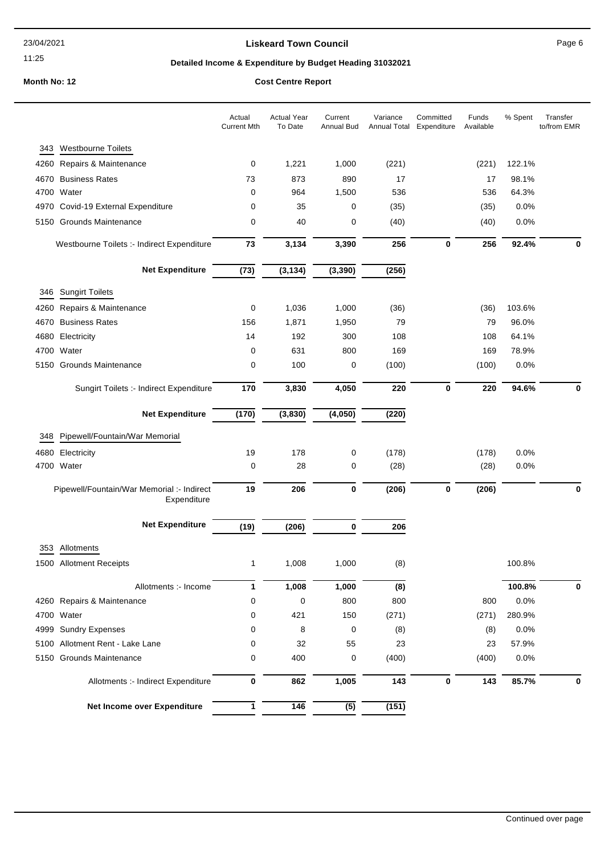### **Liskeard Town Council Canadian Council** Page 6

# **Detailed Income & Expenditure by Budget Heading 31032021**

|      |                                                           | Actual<br><b>Current Mth</b> | Actual Year<br>To Date | Current<br><b>Annual Bud</b> | Variance | Committed<br>Annual Total Expenditure | Funds<br>Available | % Spent | Transfer<br>to/from EMR |
|------|-----------------------------------------------------------|------------------------------|------------------------|------------------------------|----------|---------------------------------------|--------------------|---------|-------------------------|
| 343  | <b>Westbourne Toilets</b>                                 |                              |                        |                              |          |                                       |                    |         |                         |
| 4260 | Repairs & Maintenance                                     | 0                            | 1,221                  | 1,000                        | (221)    |                                       | (221)              | 122.1%  |                         |
| 4670 | <b>Business Rates</b>                                     | 73                           | 873                    | 890                          | 17       |                                       | 17                 | 98.1%   |                         |
| 4700 | Water                                                     | 0                            | 964                    | 1,500                        | 536      |                                       | 536                | 64.3%   |                         |
| 4970 | Covid-19 External Expenditure                             | 0                            | 35                     | 0                            | (35)     |                                       | (35)               | 0.0%    |                         |
| 5150 | <b>Grounds Maintenance</b>                                | 0                            | 40                     | 0                            | (40)     |                                       | (40)               | 0.0%    |                         |
|      | Westbourne Toilets :- Indirect Expenditure                | 73                           | 3,134                  | 3,390                        | 256      | 0                                     | 256                | 92.4%   | 0                       |
|      | <b>Net Expenditure</b>                                    | (73)                         | (3, 134)               | (3, 390)                     | (256)    |                                       |                    |         |                         |
| 346  | <b>Sungirt Toilets</b>                                    |                              |                        |                              |          |                                       |                    |         |                         |
| 4260 | Repairs & Maintenance                                     | 0                            | 1,036                  | 1,000                        | (36)     |                                       | (36)               | 103.6%  |                         |
| 4670 | <b>Business Rates</b>                                     | 156                          | 1,871                  | 1,950                        | 79       |                                       | 79                 | 96.0%   |                         |
| 4680 | Electricity                                               | 14                           | 192                    | 300                          | 108      |                                       | 108                | 64.1%   |                         |
| 4700 | Water                                                     | 0                            | 631                    | 800                          | 169      |                                       | 169                | 78.9%   |                         |
| 5150 | <b>Grounds Maintenance</b>                                | 0                            | 100                    | 0                            | (100)    |                                       | (100)              | 0.0%    |                         |
|      | Sungirt Toilets :- Indirect Expenditure                   | 170                          | 3,830                  | 4,050                        | 220      | $\bf{0}$                              | 220                | 94.6%   | 0                       |
|      | <b>Net Expenditure</b>                                    | (170)                        | (3,830)                | (4,050)                      | (220)    |                                       |                    |         |                         |
| 348  | Pipewell/Fountain/War Memorial                            |                              |                        |                              |          |                                       |                    |         |                         |
| 4680 | Electricity                                               | 19                           | 178                    | 0                            | (178)    |                                       | (178)              | 0.0%    |                         |
|      | 4700 Water                                                | 0                            | 28                     | 0                            | (28)     |                                       | (28)               | 0.0%    |                         |
|      | Pipewell/Fountain/War Memorial :- Indirect<br>Expenditure | 19                           | 206                    | 0                            | (206)    | 0                                     | (206)              |         | 0                       |
|      | <b>Net Expenditure</b>                                    | (19)                         | (206)                  | 0                            | 206      |                                       |                    |         |                         |
|      |                                                           |                              |                        |                              |          |                                       |                    |         |                         |
| 353  | Allotments                                                |                              |                        |                              |          |                                       |                    |         |                         |
|      | 1500 Allotment Receipts                                   | 1                            | 1,008                  | 1,000                        | (8)      |                                       |                    | 100.8%  |                         |
|      | Allotments :- Income                                      | 1                            | 1,008                  | 1,000                        | (8)      |                                       |                    | 100.8%  | 0                       |
|      | 4260 Repairs & Maintenance                                | 0                            | 0                      | 800                          | 800      |                                       | 800                | 0.0%    |                         |
|      | 4700 Water                                                | 0                            | 421                    | 150                          | (271)    |                                       | (271)              | 280.9%  |                         |
|      | 4999 Sundry Expenses                                      | 0                            | 8                      | 0                            | (8)      |                                       | (8)                | 0.0%    |                         |
|      | 5100 Allotment Rent - Lake Lane                           | 0                            | 32                     | 55                           | 23       |                                       | 23                 | 57.9%   |                         |
|      | 5150 Grounds Maintenance                                  | 0                            | 400                    | 0                            | (400)    |                                       | (400)              | 0.0%    |                         |
|      | Allotments :- Indirect Expenditure                        | 0                            | 862                    | 1,005                        | 143      | 0                                     | 143                | 85.7%   |                         |
|      | Net Income over Expenditure                               | 1                            | $\frac{1}{146}$        | (5)                          | (151)    |                                       |                    |         |                         |
|      |                                                           |                              |                        |                              |          |                                       |                    |         |                         |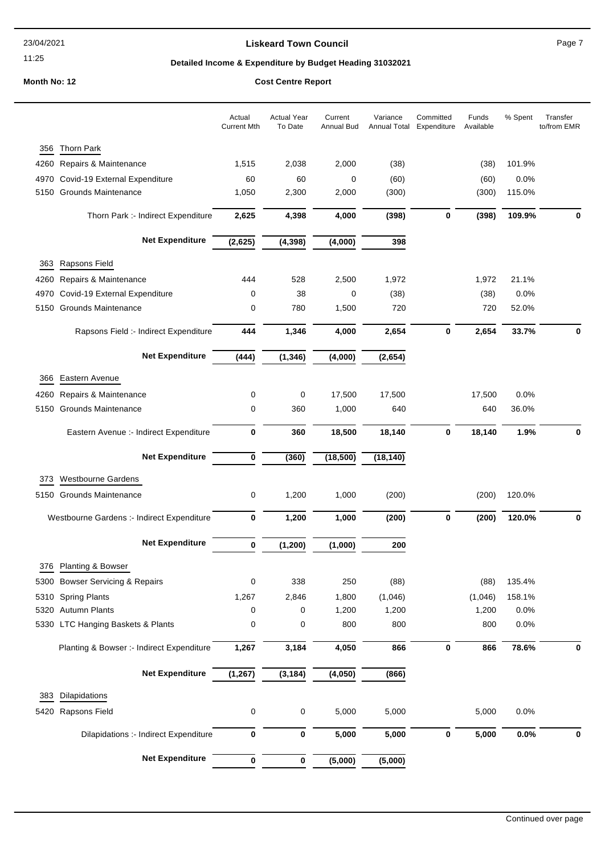#### **Liskeard Town Council Council Council Page 7**

11:25

### **Detailed Income & Expenditure by Budget Heading 31032021**

**Month No: 12 Cost Centre Report**

#### Actual Year To Date Current Annual Bud Variance Annual Total Expenditure Committed Funds Available Actual Current Mth % Spent Transfer 356 Thorn Park 4260 Repairs & Maintenance 1,515 2,038 2,000 (38) (38) 101.9% 4970 Covid-19 External Expenditure 60 60 0 (60) (60) 0.0% 5150 Grounds Maintenance 1,050 2,300 2,000 (300) (300) 115.0% Thorn Park :- Indirect Expenditure **2,625 4,398 4,000 (398) 0 (398) 109.9% 0 Net Expenditure (2,625) (4,398) (4,000) 398** 363 Rapsons Field 4260 Repairs & Maintenance 444 528 2,500 1,972 1,972 21.1% 4970 Covid-19 External Expenditure 0 38 0 (38) (38) 0.0% 5150 Grounds Maintenance 0 780 1,500 720 720 52.0% Rapsons Field :- Indirect Expenditure **444 1,346 4,000 2,654 0 2,654 33.7% 0 Net Expenditure (444) (1,346) (4,000) (2,654)**

| 366  | Eastern Avenue                             |             |          |           |           |             |         |        |   |
|------|--------------------------------------------|-------------|----------|-----------|-----------|-------------|---------|--------|---|
| 4260 | Repairs & Maintenance                      | 0           | 0        | 17,500    | 17,500    |             | 17,500  | 0.0%   |   |
| 5150 | <b>Grounds Maintenance</b>                 | 0           | 360      | 1,000     | 640       |             | 640     | 36.0%  |   |
|      | Eastern Avenue :- Indirect Expenditure     | 0           | 360      | 18,500    | 18,140    | $\mathbf 0$ | 18,140  | 1.9%   | 0 |
|      | <b>Net Expenditure</b>                     | 0           | (360)    | (18, 500) | (18, 140) |             |         |        |   |
| 373  | <b>Westbourne Gardens</b>                  |             |          |           |           |             |         |        |   |
| 5150 | <b>Grounds Maintenance</b>                 | 0           | 1,200    | 1,000     | (200)     |             | (200)   | 120.0% |   |
|      | Westbourne Gardens :- Indirect Expenditure | $\bf{0}$    | 1,200    | 1,000     | (200)     | $\bf{0}$    | (200)   | 120.0% | 0 |
|      | <b>Net Expenditure</b>                     | $\bf{0}$    | (1, 200) | (1,000)   | 200       |             |         |        |   |
| 376  | Planting & Bowser                          |             |          |           |           |             |         |        |   |
| 5300 | <b>Bowser Servicing &amp; Repairs</b>      | 0           | 338      | 250       | (88)      |             | (88)    | 135.4% |   |
| 5310 | <b>Spring Plants</b>                       | 1,267       | 2,846    | 1,800     | (1,046)   |             | (1,046) | 158.1% |   |
| 5320 | <b>Autumn Plants</b>                       | 0           | 0        | 1,200     | 1,200     |             | 1,200   | 0.0%   |   |
|      | 5330 LTC Hanging Baskets & Plants          | $\mathbf 0$ | 0        | 800       | 800       |             | 800     | 0.0%   |   |
|      | Planting & Bowser :- Indirect Expenditure  | 1,267       | 3,184    | 4,050     | 866       | 0           | 866     | 78.6%  | 0 |
|      | <b>Net Expenditure</b>                     | (1, 267)    | (3, 184) | (4,050)   | (866)     |             |         |        |   |
| 383  | <b>Dilapidations</b>                       |             |          |           |           |             |         |        |   |
| 5420 | <b>Rapsons Field</b>                       | 0           | 0        | 5,000     | 5,000     |             | 5,000   | 0.0%   |   |
|      | Dilapidations :- Indirect Expenditure      | 0           | 0        | 5,000     | 5,000     | 0           | 5,000   | 0.0%   | 0 |
|      | <b>Net Expenditure</b>                     | $\bf{0}$    | 0        | (5,000)   | (5,000)   |             |         |        |   |
|      |                                            |             |          |           |           |             |         |        |   |

to/from EMR